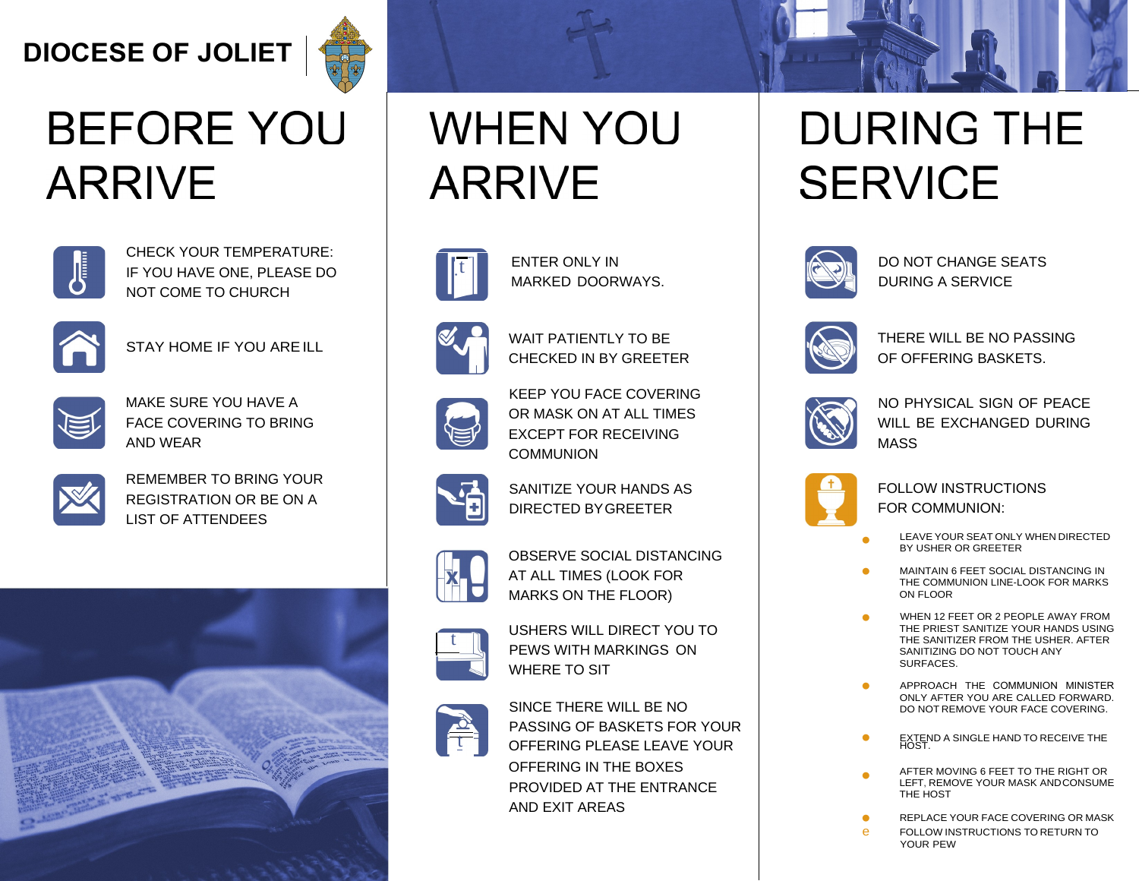#### **DIOCESE OF JOLIET**



# **BEFORE YOU** ARRIVE



CHECK YOUR TEMPERATURE: IF YOU HAVE ONE, PLEASE DO NOT COME TO CHURCH



STAY HOME IF YOU AREILL



MAKE SURE YOU HAVE A FACE COVERING TO BRING AND WEAR



KEEP YOU FACE COVERING OR MASK ON AT ALL TIMES EXCEPT FOR RECEIVING **COMMUNION** 



REMEMBER TO BRING YOUR REGISTRATION OR BE ON A LIST OF ATTENDEES



#### **WHEN YOU** ARRIVE

ENTER ONLY IN MARKED DOORWAYS.



USHERS WILL DIRECT YOU TO PEWS WITH MARKINGS ON WHERE TO SIT



WAIT PATIENTLY TO BE CHECKED IN BY GREETER



SANITIZE YOUR HANDS AS DIRECTED BYGREETER



OBSERVE SOCIAL DISTANCING AT ALL TIMES (LOOK FOR MARKS ON THE FLOOR)



SINCE THERE WILL BE NO PASSING OF BASKETS FOR YOUR OFFERING PLEASE LEAVE YOUR OFFERING IN THE BOXES PROVIDED AT THE ENTRANCE

AND EXIT AREAS

## **DURING THE** SERVICE



DO NOT CHANGE SEATS DURING A SERVICE



THERE WILL BE NO PASSING OF OFFERING BASKETS.



NO PHYSICAL SIGN OF PEACE WILL BE EXCHANGED DURING MASS

FOLLOW INSTRUCTIONS FOR COMMUNION:

- LEAVE YOUR SEAT ONLY WHEN DIRECTED BY USHER OR GREETER
- MAINTAIN 6 FEET SOCIAL DISTANCING IN THE COMMUNION LINE-LOOK FOR MARKS ON FLOOR
- WHEN 12 FEET OR 2 PEOPLE AWAY FROM THE PRIEST SANITIZE YOUR HANDS USING THE SANITIZER FROM THE USHER. AFTER SANITIZING DO NOT TOUCH ANY SURFACES.
- APPROACH THE COMMUNION MINISTER ONLY AFTER YOU ARE CALLED FORWARD. DO NOT REMOVE YOUR FACE COVERING. **•**
- **EXTEND A SINGLE HAND TO RECEIVE THE HOST.**
- AFTER MOVING 6 FEET TO THE RIGHT OR LEFT, REMOVE YOUR MASK ANDCONSUME THE HOST **•**
- REPLACE YOUR FACE COVERING OR MASK e FOLLOW INSTRUCTIONS TO RETURN TO YOUR PEW





**•** 

**•**